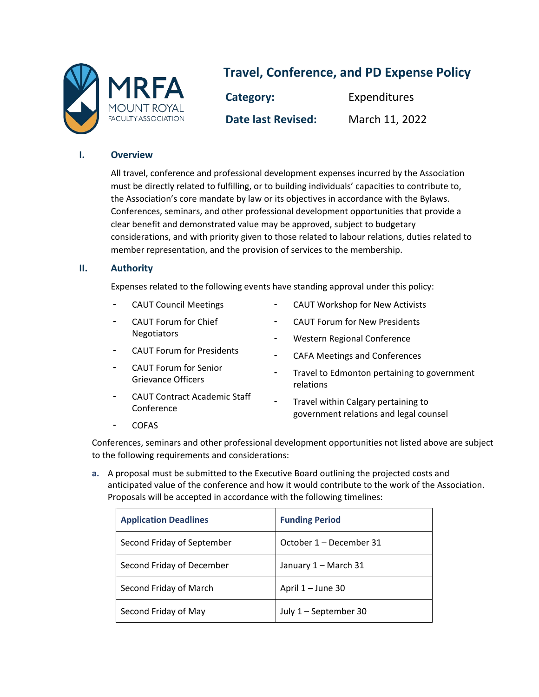

# **Travel, Conference, and PD Expense Policy**

**Category:** Expenditures **Date last Revised:** March 11, 2022

## **I. Overview**

All travel, conference and professional development expenses incurred by the Association must be directly related to fulfilling, or to building individuals' capacities to contribute to, the Association's core mandate by law or its objectives in accordance with the Bylaws. Conferences, seminars, and other professional development opportunities that provide a clear benefit and demonstrated value may be approved, subject to budgetary considerations, and with priority given to those related to labour relations, duties related to member representation, and the provision of services to the membership.

## **II. Authority**

Expenses related to the following events have standing approval under this policy:

- CAUT Council Meetings
- CAUT Forum for Chief Negotiators
- CAUT Forum for Presidents
- CAUT Forum for Senior Grievance Officers
- CAUT Contract Academic Staff Conference
- CAUT Workshop for New Activists
- CAUT Forum for New Presidents
- Western Regional Conference
- CAFA Meetings and Conferences
- Travel to Edmonton pertaining to government relations
- Travel within Calgary pertaining to government relations and legal counsel

- COFAS

Conferences, seminars and other professional development opportunities not listed above are subject to the following requirements and considerations:

**a.** A proposal must be submitted to the Executive Board outlining the projected costs and anticipated value of the conference and how it would contribute to the work of the Association. Proposals will be accepted in accordance with the following timelines:

| <b>Application Deadlines</b> | <b>Funding Period</b>   |  |
|------------------------------|-------------------------|--|
| Second Friday of September   | October 1 – December 31 |  |
| Second Friday of December    | January 1 - March 31    |  |
| Second Friday of March       | April 1 - June 30       |  |
| Second Friday of May         | July 1 - September 30   |  |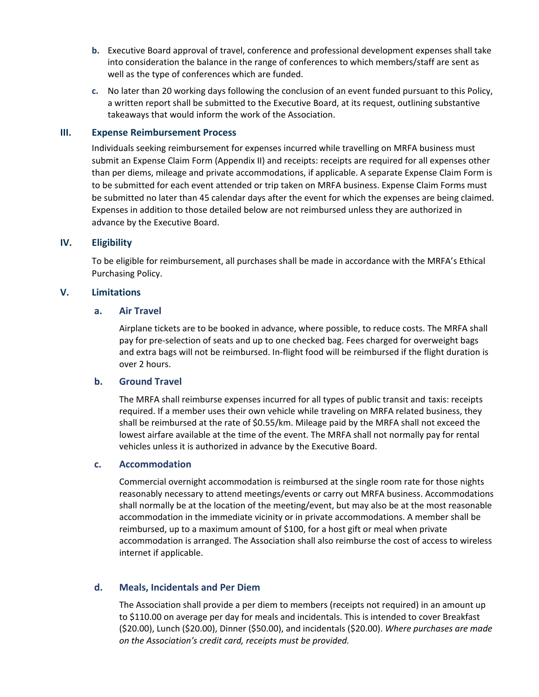- **b.** Executive Board approval of travel, conference and professional development expenses shall take into consideration the balance in the range of conferences to which members/staff are sent as well as the type of conferences which are funded.
- **c.** No later than 20 working days following the conclusion of an event funded pursuant to this Policy, a written report shall be submitted to the Executive Board, at its request, outlining substantive takeaways that would inform the work of the Association.

#### **III. Expense Reimbursement Process**

Individuals seeking reimbursement for expenses incurred while travelling on MRFA business must submit an Expense Claim Form (Appendix II) and receipts: receipts are required for all expenses other than per diems, mileage and private accommodations, if applicable. A separate Expense Claim Form is to be submitted for each event attended or trip taken on MRFA business. Expense Claim Forms must be submitted no later than 45 calendar days after the event for which the expenses are being claimed. Expenses in addition to those detailed below are not reimbursed unless they are authorized in advance by the Executive Board.

#### **IV. Eligibility**

To be eligible for reimbursement, all purchases shall be made in accordance with the MRFA's Ethical Purchasing Policy.

#### **V. Limitations**

#### **a. Air Travel**

Airplane tickets are to be booked in advance, where possible, to reduce costs. The MRFA shall pay for pre-selection of seats and up to one checked bag. Fees charged for overweight bags and extra bags will not be reimbursed. In-flight food will be reimbursed if the flight duration is over 2 hours.

#### **b. Ground Travel**

The MRFA shall reimburse expenses incurred for all types of public transit and taxis: receipts required. If a member uses their own vehicle while traveling on MRFA related business, they shall be reimbursed at the rate of \$0.55/km. Mileage paid by the MRFA shall not exceed the lowest airfare available at the time of the event. The MRFA shall not normally pay for rental vehicles unless it is authorized in advance by the Executive Board.

#### **c. Accommodation**

Commercial overnight accommodation is reimbursed at the single room rate for those nights reasonably necessary to attend meetings/events or carry out MRFA business. Accommodations shall normally be at the location of the meeting/event, but may also be at the most reasonable accommodation in the immediate vicinity or in private accommodations. A member shall be reimbursed, up to a maximum amount of \$100, for a host gift or meal when private accommodation is arranged. The Association shall also reimburse the cost of access to wireless internet if applicable.

## **d. Meals, Incidentals and Per Diem**

The Association shall provide a per diem to members (receipts not required) in an amount up to \$110.00 on average per day for meals and incidentals. This is intended to cover Breakfast (\$20.00), Lunch (\$20.00), Dinner (\$50.00), and incidentals (\$20.00). *Where purchases are made on the Association's credit card, receipts must be provided.*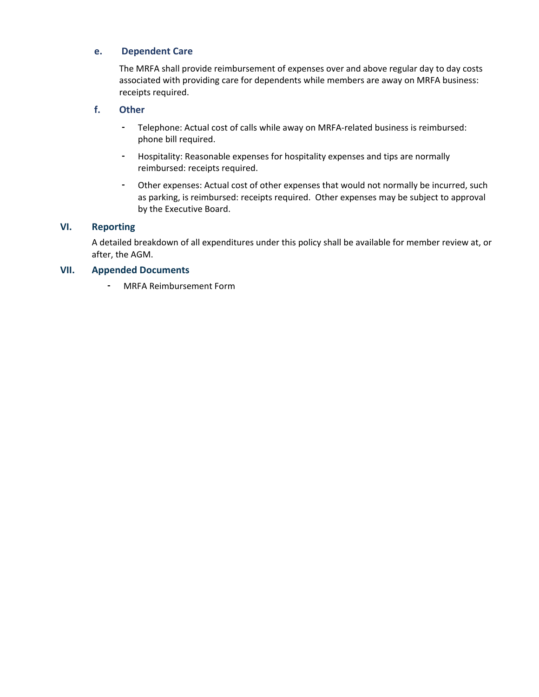## **e. Dependent Care**

The MRFA shall provide reimbursement of expenses over and above regular day to day costs associated with providing care for dependents while members are away on MRFA business: receipts required.

## **f. Other**

- Telephone: Actual cost of calls while away on MRFA-related business is reimbursed: phone bill required.
- Hospitality: Reasonable expenses for hospitality expenses and tips are normally reimbursed: receipts required.
- Other expenses: Actual cost of other expenses that would not normally be incurred, such as parking, is reimbursed: receipts required. Other expenses may be subject to approval by the Executive Board.

## **VI. Reporting**

A detailed breakdown of all expenditures under this policy shall be available for member review at, or after, the AGM.

## **VII. Appended Documents**

- MRFA Reimbursement Form